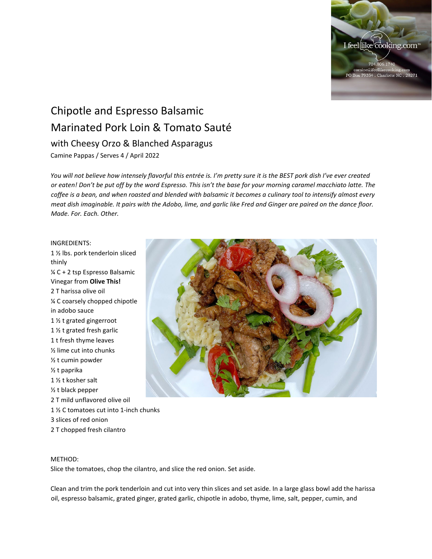

## Chipotle and Espresso Balsamic Marinated Pork Loin & Tomato Sauté with Cheesy Orzo & Blanched Asparagus

Camine Pappas / Serves 4 / April 2022

*You will not believe how intensely flavorful this entrée is. I'm pretty sure it is the BEST pork dish I've ever created or eaten! Don't be put off by the word Espresso. This isn't the base for your morning caramel macchiato latte. The coffee is a bean, and when roasted and blended with balsamic it becomes a culinary tool to intensify almost every meat dish imaginable. It pairs with the Adobo, lime, and garlic like Fred and Ginger are paired on the dance floor. Made. For. Each. Other.*

## INGREDIENTS:

1 ½ lbs. pork tenderloin sliced thinly ¼ C + 2 tsp Espresso Balsamic Vinegar from **Olive This!** 2 T harissa olive oil ¼ C coarsely chopped chipotle in adobo sauce 1 ½ t grated gingerroot 1 ½ t grated fresh garlic 1 t fresh thyme leaves ½ lime cut into chunks ½ t cumin powder ½ t paprika 1 ½ t kosher salt ½ t black pepper 2 T mild unflavored olive oil 1 ½ C tomatoes cut into 1-inch chunks 3 slices of red onion

2 T chopped fresh cilantro



## METHOD:

Slice the tomatoes, chop the cilantro, and slice the red onion. Set aside.

Clean and trim the pork tenderloin and cut into very thin slices and set aside. In a large glass bowl add the harissa oil, espresso balsamic, grated ginger, grated garlic, chipotle in adobo, thyme, lime, salt, pepper, cumin, and